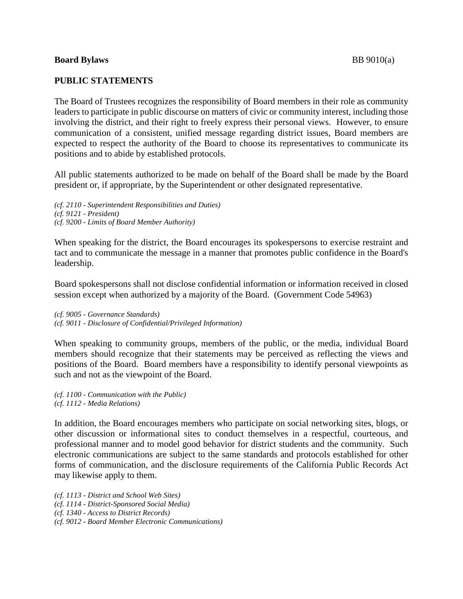## **Board Bylaws** BB 9010(a)

## **PUBLIC STATEMENTS**

The Board of Trustees recognizes the responsibility of Board members in their role as community leaders to participate in public discourse on matters of civic or community interest, including those involving the district, and their right to freely express their personal views. However, to ensure communication of a consistent, unified message regarding district issues, Board members are expected to respect the authority of the Board to choose its representatives to communicate its positions and to abide by established protocols.

All public statements authorized to be made on behalf of the Board shall be made by the Board president or, if appropriate, by the Superintendent or other designated representative.

*(cf. 2110 - Superintendent Responsibilities and Duties) (cf. 9121 - President) (cf. 9200 - Limits of Board Member Authority)*

When speaking for the district, the Board encourages its spokespersons to exercise restraint and tact and to communicate the message in a manner that promotes public confidence in the Board's leadership.

Board spokespersons shall not disclose confidential information or information received in closed session except when authorized by a majority of the Board. (Government Code 54963)

*(cf. 9005 - Governance Standards) (cf. 9011 - Disclosure of Confidential/Privileged Information)*

When speaking to community groups, members of the public, or the media, individual Board members should recognize that their statements may be perceived as reflecting the views and positions of the Board. Board members have a responsibility to identify personal viewpoints as such and not as the viewpoint of the Board.

*(cf. 1100 - Communication with the Public) (cf. 1112 - Media Relations)*

In addition, the Board encourages members who participate on social networking sites, blogs, or other discussion or informational sites to conduct themselves in a respectful, courteous, and professional manner and to model good behavior for district students and the community. Such electronic communications are subject to the same standards and protocols established for other forms of communication, and the disclosure requirements of the California Public Records Act may likewise apply to them.

*(cf. 1113 - District and School Web Sites) (cf. 1114 - District-Sponsored Social Media) (cf. 1340 - Access to District Records) (cf. 9012 - Board Member Electronic Communications)*